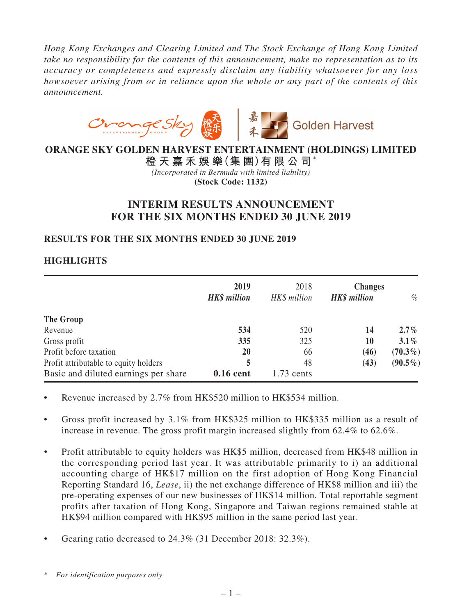*Hong Kong Exchanges and Clearing Limited and The Stock Exchange of Hong Kong Limited take no responsibility for the contents of this announcement, make no representation as to its accuracy or completeness and expressly disclaim any liability whatsoever for any loss howsoever arising from or in reliance upon the whole or any part of the contents of this announcement.*



## **ORANGE SKY GOLDEN HARVEST ENTERTAINMENT (HOLDINGS) LIMITED**

**橙 天 嘉 禾 娛 樂(集 團)有 限 公 司**\* *(Incorporated in Bermuda with limited liability)* **(Stock Code: 1132)**

# **INTERIM RESULTS ANNOUNCEMENT FOR THE SIX MONTHS ENDED 30 JUNE 2019**

## **RESULTS FOR THE SIX MONTHS ENDED 30 JUNE 2019**

## **HIGHLIGHTS**

|                                       | 2019<br><b>HK\$</b> million | 2018<br>HK\$ million | <b>Changes</b><br>HK\$ million | $\%$       |
|---------------------------------------|-----------------------------|----------------------|--------------------------------|------------|
| The Group                             |                             |                      |                                |            |
| Revenue                               | 534                         | 520                  | 14                             | $2.7\%$    |
| Gross profit                          | 335                         | 325                  | 10                             | $3.1\%$    |
| Profit before taxation                | 20                          | 66                   | (46)                           | $(70.3\%)$ |
| Profit attributable to equity holders | 5                           | 48                   | (43)                           | $(90.5\%)$ |
| Basic and diluted earnings per share  | 0.16 cent                   | $1.73$ cents         |                                |            |

- Revenue increased by 2.7% from HK\$520 million to HK\$534 million.
- • Gross profit increased by 3.1% from HK\$325 million to HK\$335 million as a result of increase in revenue. The gross profit margin increased slightly from 62.4% to 62.6%.
- Profit attributable to equity holders was HK\$5 million, decreased from HK\$48 million in the corresponding period last year. It was attributable primarily to i) an additional accounting charge of HK\$17 million on the first adoption of Hong Kong Financial Reporting Standard 16, *Lease*, ii) the net exchange difference of HK\$8 million and iii) the pre-operating expenses of our new businesses of HK\$14 million. Total reportable segment profits after taxation of Hong Kong, Singapore and Taiwan regions remained stable at HK\$94 million compared with HK\$95 million in the same period last year.
- Gearing ratio decreased to 24.3% (31 December 2018: 32.3%).

<sup>\*</sup> *For identification purposes only*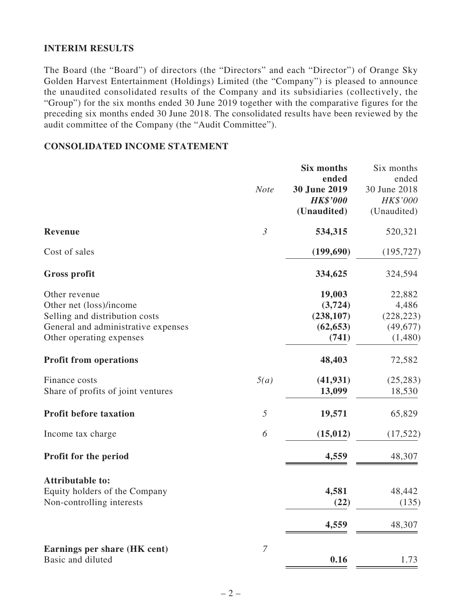## **INTERIM RESULTS**

The Board (the "Board") of directors (the "Directors" and each "Director") of Orange Sky Golden Harvest Entertainment (Holdings) Limited (the "Company") is pleased to announce the unaudited consolidated results of the Company and its subsidiaries (collectively, the "Group") for the six months ended 30 June 2019 together with the comparative figures for the preceding six months ended 30 June 2018. The consolidated results have been reviewed by the audit committee of the Company (the "Audit Committee").

### **CONSOLIDATED INCOME STATEMENT**

|                                                                                                                                               | <b>Note</b>      | <b>Six months</b><br>ended<br>30 June 2019<br><b>HK\$'000</b><br>(Unaudited) | Six months<br>ended<br>30 June 2018<br>HK\$'000<br>(Unaudited) |
|-----------------------------------------------------------------------------------------------------------------------------------------------|------------------|------------------------------------------------------------------------------|----------------------------------------------------------------|
| <b>Revenue</b>                                                                                                                                | $\mathfrak{Z}$   | 534,315                                                                      | 520,321                                                        |
| Cost of sales                                                                                                                                 |                  | (199, 690)                                                                   | (195, 727)                                                     |
| <b>Gross profit</b>                                                                                                                           |                  | 334,625                                                                      | 324,594                                                        |
| Other revenue<br>Other net (loss)/income<br>Selling and distribution costs<br>General and administrative expenses<br>Other operating expenses |                  | 19,003<br>(3, 724)<br>(238, 107)<br>(62, 653)<br>(741)                       | 22,882<br>4,486<br>(228, 223)<br>(49,677)<br>(1,480)           |
| <b>Profit from operations</b>                                                                                                                 |                  | 48,403                                                                       | 72,582                                                         |
| Finance costs<br>Share of profits of joint ventures                                                                                           | 5(a)             | (41, 931)<br>13,099                                                          | (25, 283)<br>18,530                                            |
| <b>Profit before taxation</b>                                                                                                                 | 5                | 19,571                                                                       | 65,829                                                         |
| Income tax charge                                                                                                                             | 6                | (15, 012)                                                                    | (17, 522)                                                      |
| Profit for the period                                                                                                                         |                  | 4,559                                                                        | 48,307                                                         |
| <b>Attributable to:</b><br>Equity holders of the Company<br>Non-controlling interests                                                         |                  | 4,581<br>(22)<br>4,559                                                       | 48,442<br>(135)<br>48,307                                      |
| Earnings per share (HK cent)<br>Basic and diluted                                                                                             | $\boldsymbol{7}$ | 0.16                                                                         | 1.73                                                           |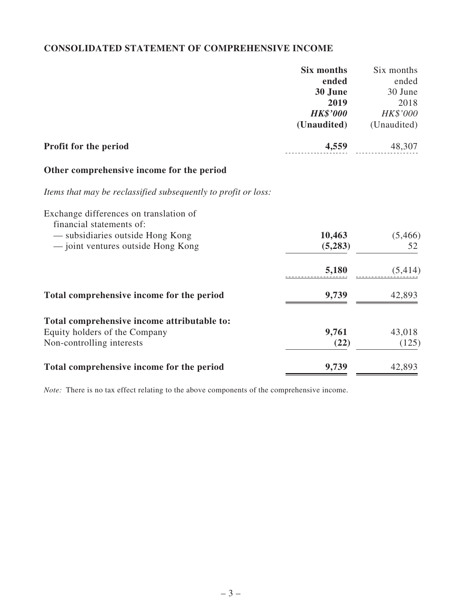# **CONSOLIDATED STATEMENT OF COMPREHENSIVE INCOME**

|                                                                    | Six months      | Six months  |
|--------------------------------------------------------------------|-----------------|-------------|
|                                                                    | ended           | ended       |
|                                                                    | 30 June         | 30 June     |
|                                                                    | 2019            | 2018        |
|                                                                    | <b>HK\$'000</b> | HK\$'000    |
|                                                                    | (Unaudited)     | (Unaudited) |
| Profit for the period                                              | 4,559           | 48,307      |
| Other comprehensive income for the period                          |                 |             |
| Items that may be reclassified subsequently to profit or loss:     |                 |             |
| Exchange differences on translation of<br>financial statements of: |                 |             |
| — subsidiaries outside Hong Kong                                   | 10,463          | (5,466)     |
| - joint ventures outside Hong Kong                                 | (5,283)         | 52          |
|                                                                    |                 |             |
|                                                                    | 5,180           | (5,414)     |
| Total comprehensive income for the period                          | 9,739           | 42,893      |
| Total comprehensive income attributable to:                        |                 |             |
| Equity holders of the Company                                      | 9,761           | 43,018      |
| Non-controlling interests                                          | (22)            | (125)       |
| Total comprehensive income for the period                          | 9,739           | 42,893      |

*Note:* There is no tax effect relating to the above components of the comprehensive income.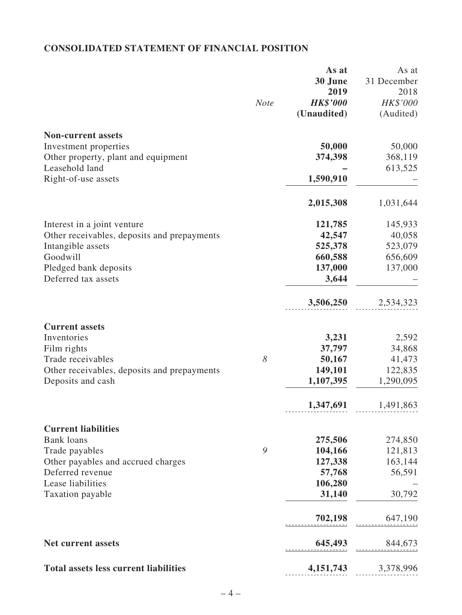# **CONSOLIDATED STATEMENT OF FINANCIAL POSITION**

|                                              |             | As at           | As at       |
|----------------------------------------------|-------------|-----------------|-------------|
|                                              |             | 30 June         | 31 December |
|                                              |             | 2019            | 2018        |
|                                              | <b>Note</b> | <b>HK\$'000</b> | HK\$'000    |
|                                              |             | (Unaudited)     | (Audited)   |
| <b>Non-current assets</b>                    |             |                 |             |
| Investment properties                        |             | 50,000          | 50,000      |
| Other property, plant and equipment          |             | 374,398         | 368,119     |
| Leasehold land                               |             |                 | 613,525     |
| Right-of-use assets                          |             | 1,590,910       |             |
|                                              |             | 2,015,308       | 1,031,644   |
| Interest in a joint venture                  |             | 121,785         | 145,933     |
| Other receivables, deposits and prepayments  |             | 42,547          | 40,058      |
| Intangible assets                            |             | 525,378         | 523,079     |
| Goodwill                                     |             | 660,588         | 656,609     |
| Pledged bank deposits                        |             | 137,000         | 137,000     |
| Deferred tax assets                          |             | 3,644           |             |
|                                              |             | 3,506,250       | 2,534,323   |
| <b>Current assets</b>                        |             |                 |             |
| Inventories                                  |             | 3,231           | 2,592       |
| Film rights                                  |             | 37,797          | 34,868      |
| Trade receivables                            | 8           | 50,167          | 41,473      |
| Other receivables, deposits and prepayments  |             | 149,101         | 122,835     |
| Deposits and cash                            |             | 1,107,395       | 1,290,095   |
|                                              |             | 1,347,691       | 1,491,863   |
| <b>Current liabilities</b>                   |             |                 |             |
| <b>Bank loans</b>                            |             | 275,506         | 274,850     |
| Trade payables                               | 9           | 104,166         | 121,813     |
| Other payables and accrued charges           |             | 127,338         | 163,144     |
| Deferred revenue                             |             | 57,768          | 56,591      |
| Lease liabilities                            |             | 106,280         |             |
| Taxation payable                             |             | 31,140          | 30,792      |
|                                              |             | 702,198         | 647,190     |
| <b>Net current assets</b>                    |             | 645,493         | 844,673     |
| <b>Total assets less current liabilities</b> |             | 4, 151, 743     | 3,378,996   |
|                                              |             |                 |             |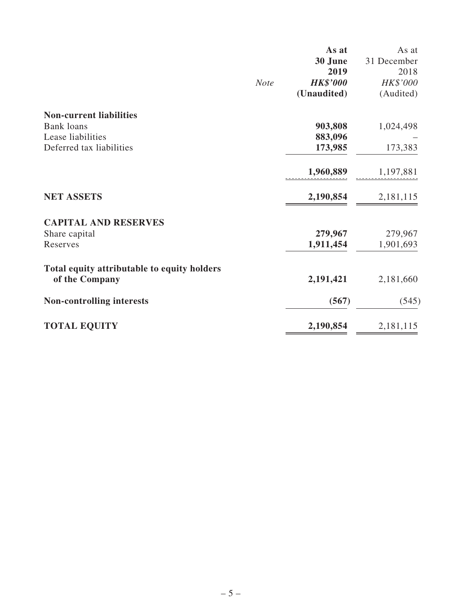|                                             |             | As at           | As at       |
|---------------------------------------------|-------------|-----------------|-------------|
|                                             |             | 30 June         | 31 December |
|                                             |             | 2019            | 2018        |
|                                             | <b>Note</b> | <b>HK\$'000</b> | HK\$'000    |
|                                             |             | (Unaudited)     | (Audited)   |
| <b>Non-current liabilities</b>              |             |                 |             |
| <b>Bank</b> loans                           |             | 903,808         | 1,024,498   |
| Lease liabilities                           |             | 883,096         |             |
| Deferred tax liabilities                    |             | 173,985         | 173,383     |
|                                             |             | 1,960,889       | 1,197,881   |
| <b>NET ASSETS</b>                           |             | 2,190,854       | 2,181,115   |
| <b>CAPITAL AND RESERVES</b>                 |             |                 |             |
| Share capital                               |             | 279,967         | 279,967     |
| Reserves                                    |             | 1,911,454       | 1,901,693   |
| Total equity attributable to equity holders |             |                 |             |
| of the Company                              |             | 2,191,421       | 2,181,660   |
| <b>Non-controlling interests</b>            |             | (567)           | (545)       |
| <b>TOTAL EQUITY</b>                         |             | 2,190,854       | 2,181,115   |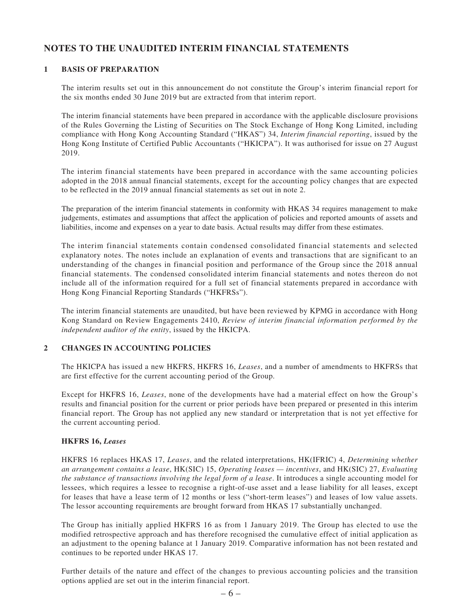## **NOTES TO THE UNAUDITED INTERIM FINANCIAL STATEMENTS**

### **1 BASIS OF PREPARATION**

The interim results set out in this announcement do not constitute the Group's interim financial report for the six months ended 30 June 2019 but are extracted from that interim report.

The interim financial statements have been prepared in accordance with the applicable disclosure provisions of the Rules Governing the Listing of Securities on The Stock Exchange of Hong Kong Limited, including compliance with Hong Kong Accounting Standard ("HKAS") 34, *Interim financial reporting*, issued by the Hong Kong Institute of Certified Public Accountants ("HKICPA"). It was authorised for issue on 27 August 2019.

The interim financial statements have been prepared in accordance with the same accounting policies adopted in the 2018 annual financial statements, except for the accounting policy changes that are expected to be reflected in the 2019 annual financial statements as set out in note 2.

The preparation of the interim financial statements in conformity with HKAS 34 requires management to make judgements, estimates and assumptions that affect the application of policies and reported amounts of assets and liabilities, income and expenses on a year to date basis. Actual results may differ from these estimates.

The interim financial statements contain condensed consolidated financial statements and selected explanatory notes. The notes include an explanation of events and transactions that are significant to an understanding of the changes in financial position and performance of the Group since the 2018 annual financial statements. The condensed consolidated interim financial statements and notes thereon do not include all of the information required for a full set of financial statements prepared in accordance with Hong Kong Financial Reporting Standards ("HKFRSs").

The interim financial statements are unaudited, but have been reviewed by KPMG in accordance with Hong Kong Standard on Review Engagements 2410, *Review of interim financial information performed by the independent auditor of the entity*, issued by the HKICPA.

#### **2 CHANGES IN ACCOUNTING POLICIES**

The HKICPA has issued a new HKFRS, HKFRS 16, *Leases*, and a number of amendments to HKFRSs that are first effective for the current accounting period of the Group.

Except for HKFRS 16, *Leases*, none of the developments have had a material effect on how the Group's results and financial position for the current or prior periods have been prepared or presented in this interim financial report. The Group has not applied any new standard or interpretation that is not yet effective for the current accounting period.

#### **HKFRS 16,** *Leases*

HKFRS 16 replaces HKAS 17, *Leases*, and the related interpretations, HK(IFRIC) 4, *Determining whether an arrangement contains a lease*, HK(SIC) 15, *Operating leases — incentives*, and HK(SIC) 27, *Evaluating the substance of transactions involving the legal form of a lease*. It introduces a single accounting model for lessees, which requires a lessee to recognise a right-of-use asset and a lease liability for all leases, except for leases that have a lease term of 12 months or less ("short-term leases") and leases of low value assets. The lessor accounting requirements are brought forward from HKAS 17 substantially unchanged.

The Group has initially applied HKFRS 16 as from 1 January 2019. The Group has elected to use the modified retrospective approach and has therefore recognised the cumulative effect of initial application as an adjustment to the opening balance at 1 January 2019. Comparative information has not been restated and continues to be reported under HKAS 17.

Further details of the nature and effect of the changes to previous accounting policies and the transition options applied are set out in the interim financial report.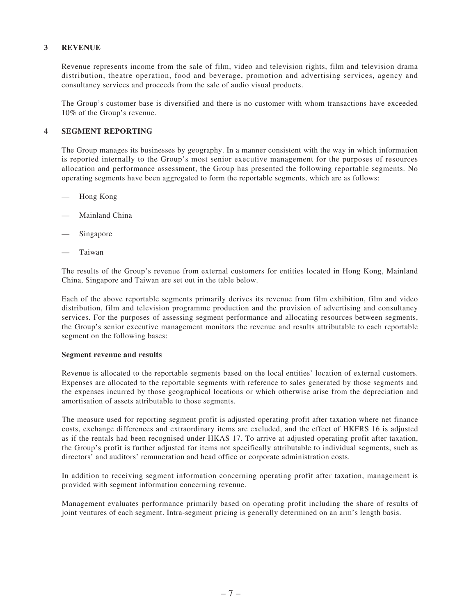#### **3 REVENUE**

Revenue represents income from the sale of film, video and television rights, film and television drama distribution, theatre operation, food and beverage, promotion and advertising services, agency and consultancy services and proceeds from the sale of audio visual products.

The Group's customer base is diversified and there is no customer with whom transactions have exceeded 10% of the Group's revenue.

#### **4 SEGMENT REPORTING**

The Group manages its businesses by geography. In a manner consistent with the way in which information is reported internally to the Group's most senior executive management for the purposes of resources allocation and performance assessment, the Group has presented the following reportable segments. No operating segments have been aggregated to form the reportable segments, which are as follows:

- Hong Kong
- Mainland China
- Singapore
- **Taiwan**

The results of the Group's revenue from external customers for entities located in Hong Kong, Mainland China, Singapore and Taiwan are set out in the table below.

Each of the above reportable segments primarily derives its revenue from film exhibition, film and video distribution, film and television programme production and the provision of advertising and consultancy services. For the purposes of assessing segment performance and allocating resources between segments, the Group's senior executive management monitors the revenue and results attributable to each reportable segment on the following bases:

#### **Segment revenue and results**

Revenue is allocated to the reportable segments based on the local entities' location of external customers. Expenses are allocated to the reportable segments with reference to sales generated by those segments and the expenses incurred by those geographical locations or which otherwise arise from the depreciation and amortisation of assets attributable to those segments.

The measure used for reporting segment profit is adjusted operating profit after taxation where net finance costs, exchange differences and extraordinary items are excluded, and the effect of HKFRS 16 is adjusted as if the rentals had been recognised under HKAS 17. To arrive at adjusted operating profit after taxation, the Group's profit is further adjusted for items not specifically attributable to individual segments, such as directors' and auditors' remuneration and head office or corporate administration costs.

In addition to receiving segment information concerning operating profit after taxation, management is provided with segment information concerning revenue.

Management evaluates performance primarily based on operating profit including the share of results of joint ventures of each segment. Intra-segment pricing is generally determined on an arm's length basis.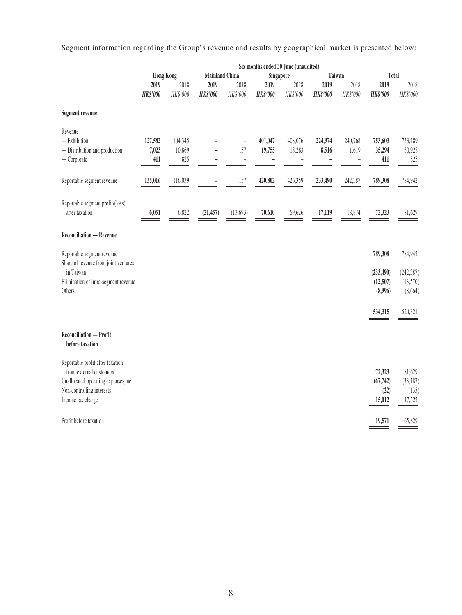Segment information regarding the Group's revenue and results by geographical market is presented below:

|                                                                                                                                                      |                                           |                          |                     |                                              |                   | Six months ended 30 June (unaudited) |                  |                                    |                                       |                                       |
|------------------------------------------------------------------------------------------------------------------------------------------------------|-------------------------------------------|--------------------------|---------------------|----------------------------------------------|-------------------|--------------------------------------|------------------|------------------------------------|---------------------------------------|---------------------------------------|
|                                                                                                                                                      | <b>Mainland China</b><br><b>Hong Kong</b> |                          | Taiwan<br>Singapore |                                              |                   | Total                                |                  |                                    |                                       |                                       |
|                                                                                                                                                      | 2019                                      | 2018                     | 2019                | 2018                                         | 2019              | 2018                                 | 2019             | 2018                               | 2019                                  | 2018                                  |
|                                                                                                                                                      | <b>HK\$'000</b>                           | HK\$'000                 | <b>HK\$'000</b>     | HK\$'000                                     | <b>HK\$'000</b>   | HK\$'000                             | <b>HK\$'000</b>  | HK\$'000                           | <b>HK\$'000</b>                       | HK\$'000                              |
| Segment revenue:                                                                                                                                     |                                           |                          |                     |                                              |                   |                                      |                  |                                    |                                       |                                       |
| Revenue<br>$-$ Exhibition<br>- Distribution and production<br>$-$ Corporate                                                                          | 127,582<br>7,023<br>411                   | 104,345<br>10,869<br>825 |                     | $\bar{ }$<br>157<br>$\overline{\phantom{0}}$ | 401,047<br>19,755 | 408,076<br>18,283                    | 224,974<br>8,516 | 240,768<br>1,619<br>$\overline{a}$ | 753,603<br>35,294<br>411              | 753,189<br>30,928<br>825              |
| Reportable segment revenue                                                                                                                           | 135,016                                   | 116,039                  |                     | 157                                          | 420,802           | 426,359                              | 233,490          | 242,387                            | 789,308                               | 784,942                               |
| Reportable segment profit/(loss)<br>after taxation                                                                                                   | 6,051                                     | 6,822                    | (21, 457)           | (13,693)                                     | 70,610            | 69,626                               | 17,119           | 18,874                             | 72,323                                | 81,629                                |
| Reconciliation - Revenue                                                                                                                             |                                           |                          |                     |                                              |                   |                                      |                  |                                    |                                       |                                       |
| Reportable segment revenue<br>Share of revenue from joint ventures<br>in Taiwan                                                                      |                                           |                          |                     |                                              |                   |                                      |                  |                                    | 789,308<br>(233, 490)                 | 784,942<br>(242, 387)                 |
| Elimination of intra-segment revenue<br>Others                                                                                                       |                                           |                          |                     |                                              |                   |                                      |                  |                                    | (12,507)<br>(8,996)                   | (13,570)<br>(8,664)                   |
|                                                                                                                                                      |                                           |                          |                     |                                              |                   |                                      |                  |                                    | 534,315                               | 520,321                               |
| Reconciliation - Profit<br>before taxation                                                                                                           |                                           |                          |                     |                                              |                   |                                      |                  |                                    |                                       |                                       |
| Reportable profit after taxation<br>from external customers<br>Unallocated operating expenses, net<br>Non-controlling interests<br>Income tax charge |                                           |                          |                     |                                              |                   |                                      |                  |                                    | 72,323<br>(67, 742)<br>(22)<br>15,012 | 81,629<br>(33,187)<br>(135)<br>17,522 |
| Profit before taxation                                                                                                                               |                                           |                          |                     |                                              |                   |                                      |                  |                                    | 19,571                                | 65,829                                |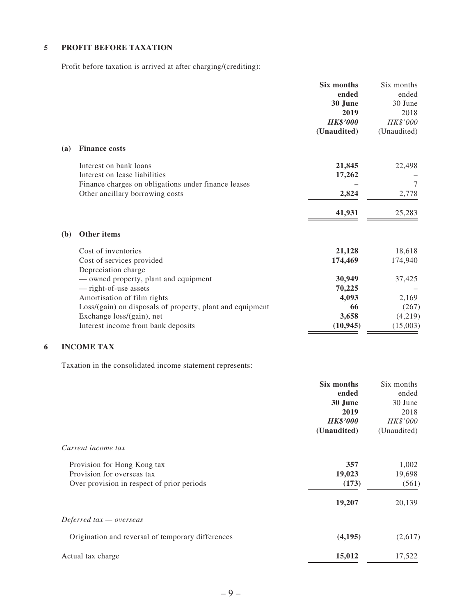#### **5 PROFIT BEFORE TAXATION**

Profit before taxation is arrived at after charging/(crediting):

| ended<br>ended<br>30 June<br>30 June<br>2019<br>2018<br>HK\$'000<br><b>HK\$'000</b><br>(Unaudited)<br>(Unaudited)<br><b>Finance costs</b><br>(a)<br>21,845<br>22,498<br>Interest on bank loans<br>Interest on lease liabilities<br>17,262<br>$\tau$<br>Finance charges on obligations under finance leases<br>2,824<br>2,778<br>Other ancillary borrowing costs<br>41,931<br>25,283<br>Other items<br>(b)<br>Cost of inventories<br>18,618<br>21,128<br>174,469<br>174,940<br>Cost of services provided<br>Depreciation charge<br>30,949<br>37,425<br>— owned property, plant and equipment<br>- right-of-use assets<br>70,225<br>4,093<br>Amortisation of film rights<br>2,169<br>Loss/(gain) on disposals of property, plant and equipment<br>(267)<br>66<br>3,658<br>Exchange loss/(gain), net<br>(4,219)<br>Interest income from bank deposits<br>(10, 945)<br>(15,003) |  | Six months | Six months |
|-----------------------------------------------------------------------------------------------------------------------------------------------------------------------------------------------------------------------------------------------------------------------------------------------------------------------------------------------------------------------------------------------------------------------------------------------------------------------------------------------------------------------------------------------------------------------------------------------------------------------------------------------------------------------------------------------------------------------------------------------------------------------------------------------------------------------------------------------------------------------------|--|------------|------------|
|                                                                                                                                                                                                                                                                                                                                                                                                                                                                                                                                                                                                                                                                                                                                                                                                                                                                             |  |            |            |
|                                                                                                                                                                                                                                                                                                                                                                                                                                                                                                                                                                                                                                                                                                                                                                                                                                                                             |  |            |            |
|                                                                                                                                                                                                                                                                                                                                                                                                                                                                                                                                                                                                                                                                                                                                                                                                                                                                             |  |            |            |
|                                                                                                                                                                                                                                                                                                                                                                                                                                                                                                                                                                                                                                                                                                                                                                                                                                                                             |  |            |            |
|                                                                                                                                                                                                                                                                                                                                                                                                                                                                                                                                                                                                                                                                                                                                                                                                                                                                             |  |            |            |
|                                                                                                                                                                                                                                                                                                                                                                                                                                                                                                                                                                                                                                                                                                                                                                                                                                                                             |  |            |            |
|                                                                                                                                                                                                                                                                                                                                                                                                                                                                                                                                                                                                                                                                                                                                                                                                                                                                             |  |            |            |
|                                                                                                                                                                                                                                                                                                                                                                                                                                                                                                                                                                                                                                                                                                                                                                                                                                                                             |  |            |            |
|                                                                                                                                                                                                                                                                                                                                                                                                                                                                                                                                                                                                                                                                                                                                                                                                                                                                             |  |            |            |
|                                                                                                                                                                                                                                                                                                                                                                                                                                                                                                                                                                                                                                                                                                                                                                                                                                                                             |  |            |            |
|                                                                                                                                                                                                                                                                                                                                                                                                                                                                                                                                                                                                                                                                                                                                                                                                                                                                             |  |            |            |
|                                                                                                                                                                                                                                                                                                                                                                                                                                                                                                                                                                                                                                                                                                                                                                                                                                                                             |  |            |            |
|                                                                                                                                                                                                                                                                                                                                                                                                                                                                                                                                                                                                                                                                                                                                                                                                                                                                             |  |            |            |
|                                                                                                                                                                                                                                                                                                                                                                                                                                                                                                                                                                                                                                                                                                                                                                                                                                                                             |  |            |            |
|                                                                                                                                                                                                                                                                                                                                                                                                                                                                                                                                                                                                                                                                                                                                                                                                                                                                             |  |            |            |
|                                                                                                                                                                                                                                                                                                                                                                                                                                                                                                                                                                                                                                                                                                                                                                                                                                                                             |  |            |            |
|                                                                                                                                                                                                                                                                                                                                                                                                                                                                                                                                                                                                                                                                                                                                                                                                                                                                             |  |            |            |
|                                                                                                                                                                                                                                                                                                                                                                                                                                                                                                                                                                                                                                                                                                                                                                                                                                                                             |  |            |            |
|                                                                                                                                                                                                                                                                                                                                                                                                                                                                                                                                                                                                                                                                                                                                                                                                                                                                             |  |            |            |
|                                                                                                                                                                                                                                                                                                                                                                                                                                                                                                                                                                                                                                                                                                                                                                                                                                                                             |  |            |            |
|                                                                                                                                                                                                                                                                                                                                                                                                                                                                                                                                                                                                                                                                                                                                                                                                                                                                             |  |            |            |

### **6 INCOME TAX**

Taxation in the consolidated income statement represents:

|                                                   | Six months      | Six months  |
|---------------------------------------------------|-----------------|-------------|
|                                                   | ended           | ended       |
|                                                   | 30 June         | 30 June     |
|                                                   | 2019            | 2018        |
|                                                   | <b>HK\$'000</b> | HK\$'000    |
|                                                   | (Unaudited)     | (Unaudited) |
| Current income tax                                |                 |             |
| Provision for Hong Kong tax                       | 357             | 1,002       |
| Provision for overseas tax                        | 19,023          | 19,698      |
| Over provision in respect of prior periods        | (173)           | (561)       |
|                                                   | 19,207          | 20,139      |
| Deferred $tax -overse$                            |                 |             |
| Origination and reversal of temporary differences | (4,195)         | (2,617)     |
| Actual tax charge                                 | 15,012          | 17,522      |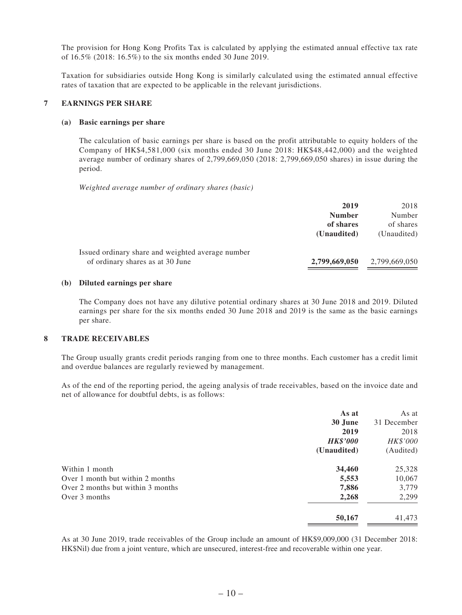The provision for Hong Kong Profits Tax is calculated by applying the estimated annual effective tax rate of 16.5% (2018: 16.5%) to the six months ended 30 June 2019.

Taxation for subsidiaries outside Hong Kong is similarly calculated using the estimated annual effective rates of taxation that are expected to be applicable in the relevant jurisdictions.

#### **7 EARNINGS PER SHARE**

#### **(a) Basic earnings per share**

The calculation of basic earnings per share is based on the profit attributable to equity holders of the Company of HK\$4,581,000 (six months ended 30 June 2018: HK\$48,442,000) and the weighted average number of ordinary shares of 2,799,669,050 (2018: 2,799,669,050 shares) in issue during the period.

*Weighted average number of ordinary shares (basic)*

|                                                                                       | 2019<br><b>Number</b><br>of shares<br>(Unaudited) | 2018<br>Number<br>of shares<br>(Unaudited) |
|---------------------------------------------------------------------------------------|---------------------------------------------------|--------------------------------------------|
| Issued ordinary share and weighted average number<br>of ordinary shares as at 30 June | 2,799,669,050                                     | 2,799,669,050                              |

#### **(b) Diluted earnings per share**

The Company does not have any dilutive potential ordinary shares at 30 June 2018 and 2019. Diluted earnings per share for the six months ended 30 June 2018 and 2019 is the same as the basic earnings per share.

#### **8 TRADE RECEIVABLES**

The Group usually grants credit periods ranging from one to three months. Each customer has a credit limit and overdue balances are regularly reviewed by management.

As of the end of the reporting period, the ageing analysis of trade receivables, based on the invoice date and net of allowance for doubtful debts, is as follows:

|                                   | As at           | As at       |
|-----------------------------------|-----------------|-------------|
|                                   | 30 June         | 31 December |
|                                   | 2019            | 2018        |
|                                   | <b>HK\$'000</b> | HK\$'000    |
|                                   | (Unaudited)     | (Audited)   |
| Within 1 month                    | 34,460          | 25,328      |
| Over 1 month but within 2 months  | 5,553           | 10,067      |
| Over 2 months but within 3 months | 7,886           | 3,779       |
| Over 3 months                     | 2,268           | 2,299       |
|                                   | 50,167          | 41,473      |
|                                   |                 |             |

As at 30 June 2019, trade receivables of the Group include an amount of HK\$9,009,000 (31 December 2018: HK\$Nil) due from a joint venture, which are unsecured, interest-free and recoverable within one year.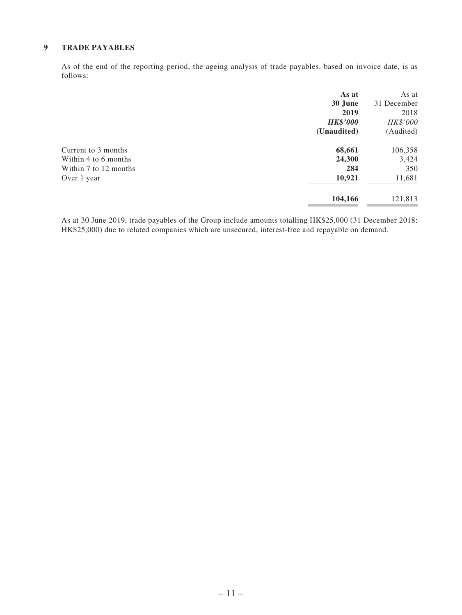#### **9 TRADE PAYABLES**

As of the end of the reporting period, the ageing analysis of trade payables, based on invoice date, is as follows:

|                       | As at           | As at       |
|-----------------------|-----------------|-------------|
|                       | 30 June         | 31 December |
|                       | 2019            | 2018        |
|                       | <b>HK\$'000</b> | HK\$'000    |
|                       | (Unaudited)     | (Audited)   |
| Current to 3 months   | 68,661          | 106,358     |
| Within 4 to 6 months  | 24,300          | 3,424       |
| Within 7 to 12 months | 284             | 350         |
| Over 1 year           | 10,921          | 11,681      |
|                       | 104,166         | 121,813     |

As at 30 June 2019, trade payables of the Group include amounts totalling HK\$25,000 (31 December 2018: HK\$25,000) due to related companies which are unsecured, interest-free and repayable on demand.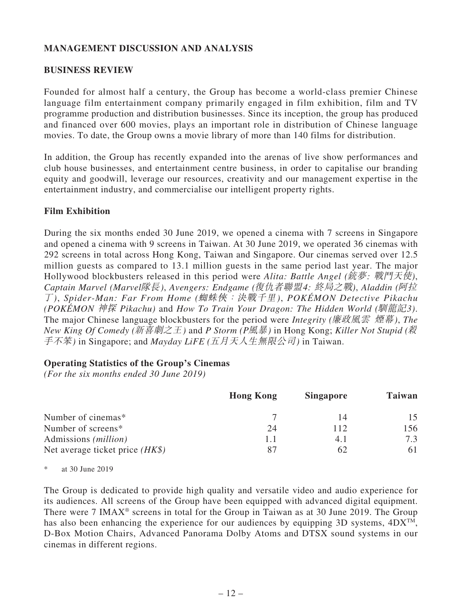## **MANAGEMENT DISCUSSION AND ANALYSIS**

### **BUSINESS REVIEW**

Founded for almost half a century, the Group has become a world-class premier Chinese language film entertainment company primarily engaged in film exhibition, film and TV programme production and distribution businesses. Since its inception, the group has produced and financed over 600 movies, plays an important role in distribution of Chinese language movies. To date, the Group owns a movie library of more than 140 films for distribution.

In addition, the Group has recently expanded into the arenas of live show performances and club house businesses, and entertainment centre business, in order to capitalise our branding equity and goodwill, leverage our resources, creativity and our management expertise in the entertainment industry, and commercialise our intelligent property rights.

### **Film Exhibition**

During the six months ended 30 June 2019, we opened a cinema with 7 screens in Singapore and opened a cinema with 9 screens in Taiwan. At 30 June 2019, we operated 36 cinemas with 292 screens in total across Hong Kong, Taiwan and Singapore. Our cinemas served over 12.5 million guests as compared to 13.1 million guests in the same period last year. The major Hollywood blockbusters released in this period were *Alita: Battle Angel (*銃夢*:* 戰鬥天使*)*, *Captain Marvel (Marvel*隊長*)*, *Avengers: Endgame (*復仇者聯盟*4:* 終局之戰*)*, *Aladdin (*阿拉 丁*)*, *Spider-Man: Far From Home (*蜘蛛俠:決戰千里*)*, *POKÉMON Detective Pikachu (POKÉMON* 神探 *Pikachu)* and *How To Train Your Dragon: The Hidden World (*馴龍記*3)*. The major Chinese language blockbusters for the period were *Integrity (*廉政風雲 煙幕*)*, *The New King Of Comedy (*新喜劇之王*)* and *P Storm (P*風暴*)* in Hong Kong; *Killer Not Stupid (*殺 手不笨*)* in Singapore; and *Mayday LiFE (*五月天人生無限公司*)* in Taiwan.

### **Operating Statistics of the Group's Cinemas**

*(For the six months ended 30 June 2019)*

|                                   | <b>Hong Kong</b> | <b>Singapore</b> | <b>Taiwan</b> |
|-----------------------------------|------------------|------------------|---------------|
| Number of cinemas*                |                  | 14               | 15            |
| Number of screens*                | 24               | 112              | 156           |
| Admissions ( <i>million</i> )     |                  | 4.1              | 7.3           |
| Net average ticket price $(HK\$ ) | 87               | 62               | 61            |

\* at 30 June 2019

The Group is dedicated to provide high quality and versatile video and audio experience for its audiences. All screens of the Group have been equipped with advanced digital equipment. There were 7 IMAX® screens in total for the Group in Taiwan as at 30 June 2019. The Group has also been enhancing the experience for our audiences by equipping 3D systems,  $4DX^{TM}$ , D-Box Motion Chairs, Advanced Panorama Dolby Atoms and DTSX sound systems in our cinemas in different regions.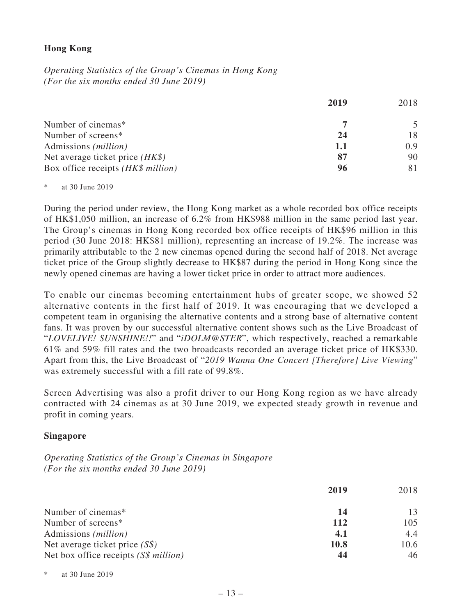## **Hong Kong**

*Operating Statistics of the Group's Cinemas in Hong Kong (For the six months ended 30 June 2019)*

|                                    | 2019 | 2018 |
|------------------------------------|------|------|
| Number of cinemas*                 |      |      |
| Number of screens*                 | 24   | 18   |
| Admissions ( <i>million</i> )      | 1.1  | 0.9  |
| Net average ticket price $(HK\$ )  | 87   | 90   |
| Box office receipts (HK\$ million) | 96   |      |

\* at 30 June 2019

During the period under review, the Hong Kong market as a whole recorded box office receipts of HK\$1,050 million, an increase of 6.2% from HK\$988 million in the same period last year. The Group's cinemas in Hong Kong recorded box office receipts of HK\$96 million in this period (30 June 2018: HK\$81 million), representing an increase of 19.2%. The increase was primarily attributable to the 2 new cinemas opened during the second half of 2018. Net average ticket price of the Group slightly decrease to HK\$87 during the period in Hong Kong since the newly opened cinemas are having a lower ticket price in order to attract more audiences.

To enable our cinemas becoming entertainment hubs of greater scope, we showed 52 alternative contents in the first half of 2019. It was encouraging that we developed a competent team in organising the alternative contents and a strong base of alternative content fans. It was proven by our successful alternative content shows such as the Live Broadcast of "*LOVELIVE! SUNSHINE!!*" and "*iDOLM@STER*", which respectively, reached a remarkable 61% and 59% fill rates and the two broadcasts recorded an average ticket price of HK\$330. Apart from this, the Live Broadcast of "*2019 Wanna One Concert [Therefore] Live Viewing*" was extremely successful with a fill rate of 99.8%.

Screen Advertising was also a profit driver to our Hong Kong region as we have already contracted with 24 cinemas as at 30 June 2019, we expected steady growth in revenue and profit in coming years.

### **Singapore**

*Operating Statistics of the Group's Cinemas in Singapore (For the six months ended 30 June 2019)*

|                                        | 2019 | 2018 |
|----------------------------------------|------|------|
| Number of cinemas*                     | 14   | 13   |
| Number of screens*                     | 112  | 105  |
| Admissions ( <i>million</i> )          | 4.1  | 4.4  |
| Net average ticket price $(S\$ )       | 10.8 | 10.6 |
| Net box office receipts $(S\$ million) | 44   | 46   |

\* at 30 June 2019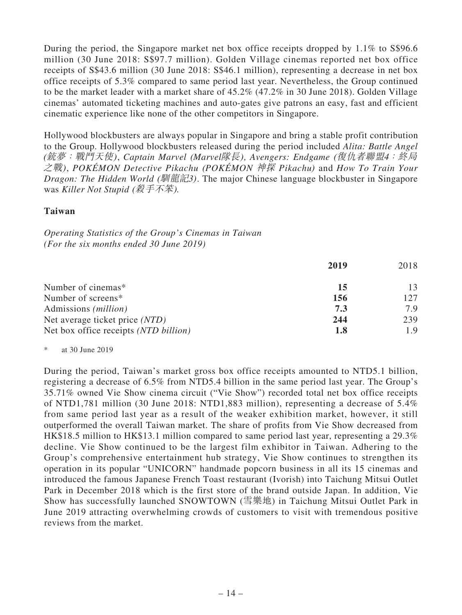During the period, the Singapore market net box office receipts dropped by 1.1% to S\$96.6 million (30 June 2018: S\$97.7 million). Golden Village cinemas reported net box office receipts of S\$43.6 million (30 June 2018: S\$46.1 million), representing a decrease in net box office receipts of 5.3% compared to same period last year. Nevertheless, the Group continued to be the market leader with a market share of 45.2% (47.2% in 30 June 2018). Golden Village cinemas' automated ticketing machines and auto-gates give patrons an easy, fast and efficient cinematic experience like none of the other competitors in Singapore.

Hollywood blockbusters are always popular in Singapore and bring a stable profit contribution to the Group. Hollywood blockbusters released during the period included *Alita: Battle Angel* (銃夢:戰鬥天使), *Captain Marvel* (*Marvel*隊長)*, Avengers: Endgame* (復仇者聯盟*4*:終局 之戰), *POKÉMON Detective Pikachu* (*POKÉMON* 神探 *Pikachu*) and *How To Train Your Dragon: The Hidden World* (馴龍記*3*). The major Chinese language blockbuster in Singapore was *Killer Not Stupid* (殺手不笨).

### **Taiwan**

*Operating Statistics of the Group's Cinemas in Taiwan (For the six months ended 30 June 2019)*

|                                       | 2019 | 2018 |
|---------------------------------------|------|------|
| Number of cinemas*                    | 15   | 13   |
| Number of screens*                    | 156  | 127  |
| Admissions ( <i>million</i> )         | 7.3  | 7.9  |
| Net average ticket price (NTD)        | 244  | 239  |
| Net box office receipts (NTD billion) | 1.8  | 1.9  |

### \* at 30 June 2019

During the period, Taiwan's market gross box office receipts amounted to NTD5.1 billion, registering a decrease of 6.5% from NTD5.4 billion in the same period last year. The Group's 35.71% owned Vie Show cinema circuit ("Vie Show") recorded total net box office receipts of NTD1,781 million (30 June 2018: NTD1,883 million), representing a decrease of 5.4% from same period last year as a result of the weaker exhibition market, however, it still outperformed the overall Taiwan market. The share of profits from Vie Show decreased from HK\$18.5 million to HK\$13.1 million compared to same period last year, representing a 29.3% decline. Vie Show continued to be the largest film exhibitor in Taiwan. Adhering to the Group's comprehensive entertainment hub strategy, Vie Show continues to strengthen its operation in its popular "UNICORN" handmade popcorn business in all its 15 cinemas and introduced the famous Japanese French Toast restaurant (Ivorish) into Taichung Mitsui Outlet Park in December 2018 which is the first store of the brand outside Japan. In addition, Vie Show has successfully launched SNOWTOWN (雪樂地) in Taichung Mitsui Outlet Park in June 2019 attracting overwhelming crowds of customers to visit with tremendous positive reviews from the market.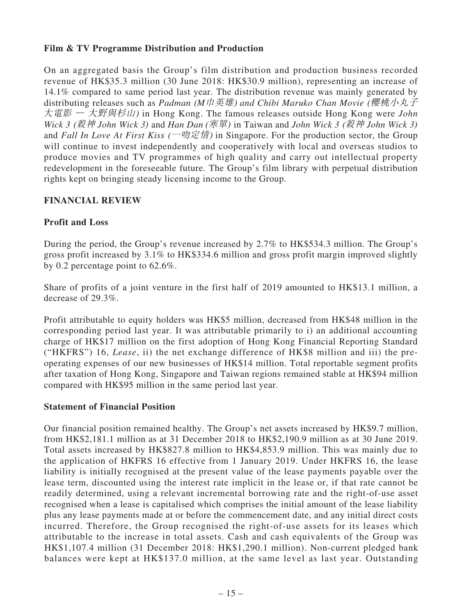## **Film & TV Programme Distribution and Production**

On an aggregated basis the Group's film distribution and production business recorded revenue of HK\$35.3 million (30 June 2018: HK\$30.9 million), representing an increase of 14.1% compared to same period last year. The distribution revenue was mainly generated by distributing releases such as *Padman* (*M*巾英雄) *and Chibi Maruko Chan Movie* (櫻桃小丸子 大電影 *—* 大野與杉山) in Hong Kong. The famous releases outside Hong Kong were *John Wick 3* (殺神 *John Wick 3*) and *Han Dan* (寒單) in Taiwan and *John Wick 3* (殺神 *John Wick 3*) and *Fall In Love At First Kiss* (一吻定情) in Singapore. For the production sector, the Group will continue to invest independently and cooperatively with local and overseas studios to produce movies and TV programmes of high quality and carry out intellectual property redevelopment in the foreseeable future. The Group's film library with perpetual distribution rights kept on bringing steady licensing income to the Group.

## **FINANCIAL REVIEW**

## **Profit and Loss**

During the period, the Group's revenue increased by 2.7% to HK\$534.3 million. The Group's gross profit increased by 3.1% to HK\$334.6 million and gross profit margin improved slightly by 0.2 percentage point to 62.6%.

Share of profits of a joint venture in the first half of 2019 amounted to HK\$13.1 million, a decrease of 29.3%.

Profit attributable to equity holders was HK\$5 million, decreased from HK\$48 million in the corresponding period last year. It was attributable primarily to i) an additional accounting charge of HK\$17 million on the first adoption of Hong Kong Financial Reporting Standard ("HKFRS") 16, *Lease*, ii) the net exchange difference of HK\$8 million and iii) the preoperating expenses of our new businesses of HK\$14 million. Total reportable segment profits after taxation of Hong Kong, Singapore and Taiwan regions remained stable at HK\$94 million compared with HK\$95 million in the same period last year.

### **Statement of Financial Position**

Our financial position remained healthy. The Group's net assets increased by HK\$9.7 million, from HK\$2,181.1 million as at 31 December 2018 to HK\$2,190.9 million as at 30 June 2019. Total assets increased by HK\$827.8 million to HK\$4,853.9 million. This was mainly due to the application of HKFRS 16 effective from 1 January 2019. Under HKFRS 16, the lease liability is initially recognised at the present value of the lease payments payable over the lease term, discounted using the interest rate implicit in the lease or, if that rate cannot be readily determined, using a relevant incremental borrowing rate and the right-of-use asset recognised when a lease is capitalised which comprises the initial amount of the lease liability plus any lease payments made at or before the commencement date, and any initial direct costs incurred. Therefore, the Group recognised the right-of-use assets for its leases which attributable to the increase in total assets. Cash and cash equivalents of the Group was HK\$1,107.4 million (31 December 2018: HK\$1,290.1 million). Non-current pledged bank balances were kept at HK\$137.0 million, at the same level as last year. Outstanding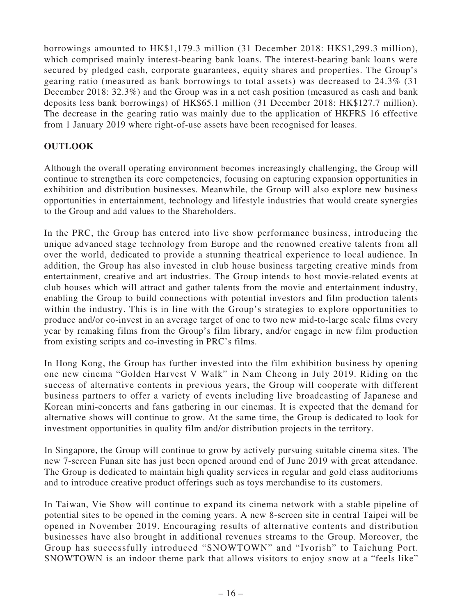borrowings amounted to HK\$1,179.3 million (31 December 2018: HK\$1,299.3 million), which comprised mainly interest-bearing bank loans. The interest-bearing bank loans were secured by pledged cash, corporate guarantees, equity shares and properties. The Group's gearing ratio (measured as bank borrowings to total assets) was decreased to 24.3% (31 December 2018: 32.3%) and the Group was in a net cash position (measured as cash and bank deposits less bank borrowings) of HK\$65.1 million (31 December 2018: HK\$127.7 million). The decrease in the gearing ratio was mainly due to the application of HKFRS 16 effective from 1 January 2019 where right-of-use assets have been recognised for leases.

## **OUTLOOK**

Although the overall operating environment becomes increasingly challenging, the Group will continue to strengthen its core competencies, focusing on capturing expansion opportunities in exhibition and distribution businesses. Meanwhile, the Group will also explore new business opportunities in entertainment, technology and lifestyle industries that would create synergies to the Group and add values to the Shareholders.

In the PRC, the Group has entered into live show performance business, introducing the unique advanced stage technology from Europe and the renowned creative talents from all over the world, dedicated to provide a stunning theatrical experience to local audience. In addition, the Group has also invested in club house business targeting creative minds from entertainment, creative and art industries. The Group intends to host movie-related events at club houses which will attract and gather talents from the movie and entertainment industry, enabling the Group to build connections with potential investors and film production talents within the industry. This is in line with the Group's strategies to explore opportunities to produce and/or co-invest in an average target of one to two new mid-to-large scale films every year by remaking films from the Group's film library, and/or engage in new film production from existing scripts and co-investing in PRC's films.

In Hong Kong, the Group has further invested into the film exhibition business by opening one new cinema "Golden Harvest V Walk" in Nam Cheong in July 2019. Riding on the success of alternative contents in previous years, the Group will cooperate with different business partners to offer a variety of events including live broadcasting of Japanese and Korean mini-concerts and fans gathering in our cinemas. It is expected that the demand for alternative shows will continue to grow. At the same time, the Group is dedicated to look for investment opportunities in quality film and/or distribution projects in the territory.

In Singapore, the Group will continue to grow by actively pursuing suitable cinema sites. The new 7-screen Funan site has just been opened around end of June 2019 with great attendance. The Group is dedicated to maintain high quality services in regular and gold class auditoriums and to introduce creative product offerings such as toys merchandise to its customers.

In Taiwan, Vie Show will continue to expand its cinema network with a stable pipeline of potential sites to be opened in the coming years. A new 8-screen site in central Taipei will be opened in November 2019. Encouraging results of alternative contents and distribution businesses have also brought in additional revenues streams to the Group. Moreover, the Group has successfully introduced "SNOWTOWN" and "Ivorish" to Taichung Port. SNOWTOWN is an indoor theme park that allows visitors to enjoy snow at a "feels like"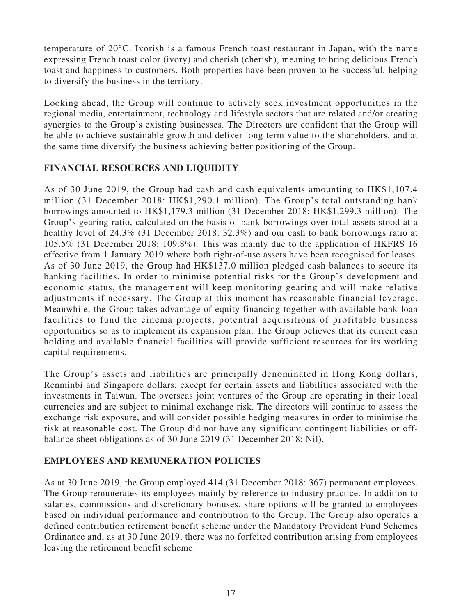temperature of 20°C. Ivorish is a famous French toast restaurant in Japan, with the name expressing French toast color (ivory) and cherish (cherish), meaning to bring delicious French toast and happiness to customers. Both properties have been proven to be successful, helping to diversify the business in the territory.

Looking ahead, the Group will continue to actively seek investment opportunities in the regional media, entertainment, technology and lifestyle sectors that are related and/or creating synergies to the Group's existing businesses. The Directors are confident that the Group will be able to achieve sustainable growth and deliver long term value to the shareholders, and at the same time diversify the business achieving better positioning of the Group.

## **FINANCIAL RESOURCES AND LIQUIDITY**

As of 30 June 2019, the Group had cash and cash equivalents amounting to HK\$1,107.4 million (31 December 2018: HK\$1,290.1 million). The Group's total outstanding bank borrowings amounted to HK\$1,179.3 million (31 December 2018: HK\$1,299.3 million). The Group's gearing ratio, calculated on the basis of bank borrowings over total assets stood at a healthy level of 24.3% (31 December 2018: 32.3%) and our cash to bank borrowings ratio at 105.5% (31 December 2018: 109.8%). This was mainly due to the application of HKFRS 16 effective from 1 January 2019 where both right-of-use assets have been recognised for leases. As of 30 June 2019, the Group had HK\$137.0 million pledged cash balances to secure its banking facilities. In order to minimise potential risks for the Group's development and economic status, the management will keep monitoring gearing and will make relative adjustments if necessary. The Group at this moment has reasonable financial leverage. Meanwhile, the Group takes advantage of equity financing together with available bank loan facilities to fund the cinema projects, potential acquisitions of profitable business opportunities so as to implement its expansion plan. The Group believes that its current cash holding and available financial facilities will provide sufficient resources for its working capital requirements.

The Group's assets and liabilities are principally denominated in Hong Kong dollars, Renminbi and Singapore dollars, except for certain assets and liabilities associated with the investments in Taiwan. The overseas joint ventures of the Group are operating in their local currencies and are subject to minimal exchange risk. The directors will continue to assess the exchange risk exposure, and will consider possible hedging measures in order to minimise the risk at reasonable cost. The Group did not have any significant contingent liabilities or offbalance sheet obligations as of 30 June 2019 (31 December 2018: Nil).

## **EMPLOYEES AND REMUNERATION POLICIES**

As at 30 June 2019, the Group employed 414 (31 December 2018: 367) permanent employees. The Group remunerates its employees mainly by reference to industry practice. In addition to salaries, commissions and discretionary bonuses, share options will be granted to employees based on individual performance and contribution to the Group. The Group also operates a defined contribution retirement benefit scheme under the Mandatory Provident Fund Schemes Ordinance and, as at 30 June 2019, there was no forfeited contribution arising from employees leaving the retirement benefit scheme.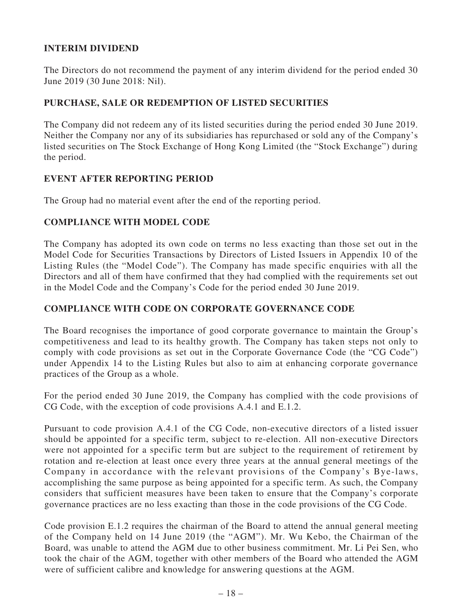## **INTERIM DIVIDEND**

The Directors do not recommend the payment of any interim dividend for the period ended 30 June 2019 (30 June 2018: Nil).

## **PURCHASE, SALE OR REDEMPTION OF LISTED SECURITIES**

The Company did not redeem any of its listed securities during the period ended 30 June 2019. Neither the Company nor any of its subsidiaries has repurchased or sold any of the Company's listed securities on The Stock Exchange of Hong Kong Limited (the "Stock Exchange") during the period.

### **EVENT AFTER REPORTING PERIOD**

The Group had no material event after the end of the reporting period.

### **COMPLIANCE WITH MODEL CODE**

The Company has adopted its own code on terms no less exacting than those set out in the Model Code for Securities Transactions by Directors of Listed Issuers in Appendix 10 of the Listing Rules (the "Model Code"). The Company has made specific enquiries with all the Directors and all of them have confirmed that they had complied with the requirements set out in the Model Code and the Company's Code for the period ended 30 June 2019.

## **COMPLIANCE WITH CODE ON CORPORATE GOVERNANCE CODE**

The Board recognises the importance of good corporate governance to maintain the Group's competitiveness and lead to its healthy growth. The Company has taken steps not only to comply with code provisions as set out in the Corporate Governance Code (the "CG Code") under Appendix 14 to the Listing Rules but also to aim at enhancing corporate governance practices of the Group as a whole.

For the period ended 30 June 2019, the Company has complied with the code provisions of CG Code, with the exception of code provisions A.4.1 and E.1.2.

Pursuant to code provision A.4.1 of the CG Code, non-executive directors of a listed issuer should be appointed for a specific term, subject to re-election. All non-executive Directors were not appointed for a specific term but are subject to the requirement of retirement by rotation and re-election at least once every three years at the annual general meetings of the Company in accordance with the relevant provisions of the Company's Bye-laws, accomplishing the same purpose as being appointed for a specific term. As such, the Company considers that sufficient measures have been taken to ensure that the Company's corporate governance practices are no less exacting than those in the code provisions of the CG Code.

Code provision E.1.2 requires the chairman of the Board to attend the annual general meeting of the Company held on 14 June 2019 (the "AGM"). Mr. Wu Kebo, the Chairman of the Board, was unable to attend the AGM due to other business commitment. Mr. Li Pei Sen, who took the chair of the AGM, together with other members of the Board who attended the AGM were of sufficient calibre and knowledge for answering questions at the AGM.